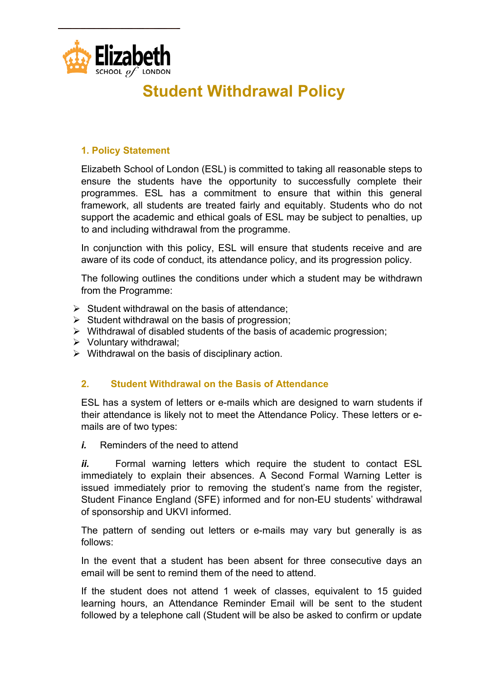

# **Student Withdrawal Policy**

## **1. Policy Statement**

Elizabeth School of London (ESL) is committed to taking all reasonable steps to ensure the students have the opportunity to successfully complete their programmes. ESL has a commitment to ensure that within this general framework, all students are treated fairly and equitably. Students who do not support the academic and ethical goals of ESL may be subject to penalties, up to and including withdrawal from the programme.

In conjunction with this policy, ESL will ensure that students receive and are aware of its code of conduct, its attendance policy, and its progression policy.

The following outlines the conditions under which a student may be withdrawn from the Programme:

- $\triangleright$  Student withdrawal on the basis of attendance:
- $\triangleright$  Student withdrawal on the basis of progression;
- $\triangleright$  Withdrawal of disabled students of the basis of academic progression;
- $\triangleright$  Voluntary withdrawal;
- $\triangleright$  Withdrawal on the basis of disciplinary action.

#### **2. Student Withdrawal on the Basis of Attendance**

ESL has a system of letters or e-mails which are designed to warn students if their attendance is likely not to meet the Attendance Policy. These letters or emails are of two types:

*i.* Reminders of the need to attend

*ii.* Formal warning letters which require the student to contact ESL immediately to explain their absences. A Second Formal Warning Letter is issued immediately prior to removing the student's name from the register, Student Finance England (SFE) informed and for non-EU students' withdrawal of sponsorship and UKVI informed.

The pattern of sending out letters or e-mails may vary but generally is as follows:

In the event that a student has been absent for three consecutive days an email will be sent to remind them of the need to attend.

If the student does not attend 1 week of classes, equivalent to 15 guided learning hours, an Attendance Reminder Email will be sent to the student followed by a telephone call (Student will be also be asked to confirm or update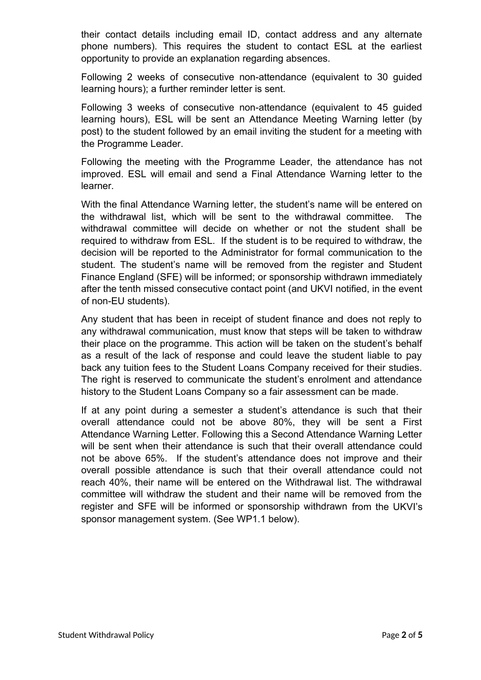their contact details including email ID, contact address and any alternate phone numbers). This requires the student to contact ESL at the earliest opportunity to provide an explanation regarding absences.

Following 2 weeks of consecutive non-attendance (equivalent to 30 guided learning hours); a further reminder letter is sent.

Following 3 weeks of consecutive non-attendance (equivalent to 45 guided learning hours), ESL will be sent an Attendance Meeting Warning letter (by post) to the student followed by an email inviting the student for a meeting with the Programme Leader.

Following the meeting with the Programme Leader, the attendance has not improved. ESL will email and send a Final Attendance Warning letter to the learner.

With the final Attendance Warning letter, the student's name will be entered on the withdrawal list, which will be sent to the withdrawal committee. The withdrawal committee will decide on whether or not the student shall be required to withdraw from ESL. If the student is to be required to withdraw, the decision will be reported to the Administrator for formal communication to the student. The student's name will be removed from the register and Student Finance England (SFE) will be informed; or sponsorship withdrawn immediately after the tenth missed consecutive contact point (and UKVI notified, in the event of non-EU students).

Any student that has been in receipt of student finance and does not reply to any withdrawal communication, must know that steps will be taken to withdraw their place on the programme. This action will be taken on the student's behalf as a result of the lack of response and could leave the student liable to pay back any tuition fees to the Student Loans Company received for their studies. The right is reserved to communicate the student's enrolment and attendance history to the Student Loans Company so a fair assessment can be made.

If at any point during a semester a student's attendance is such that their overall attendance could not be above 80%, they will be sent a First Attendance Warning Letter. Following this a Second Attendance Warning Letter will be sent when their attendance is such that their overall attendance could not be above 65%. If the student's attendance does not improve and their overall possible attendance is such that their overall attendance could not reach 40%, their name will be entered on the Withdrawal list. The withdrawal committee will withdraw the student and their name will be removed from the register and SFE will be informed or sponsorship withdrawn from the UKVI's sponsor management system. (See WP1.1 below).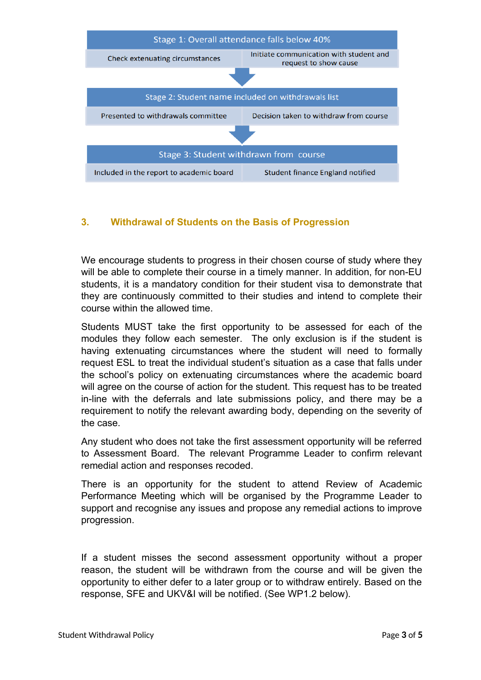

#### **3. Withdrawal of Students on the Basis of Progression**

We encourage students to progress in their chosen course of study where they will be able to complete their course in a timely manner. In addition, for non-EU students, it is a mandatory condition for their student visa to demonstrate that they are continuously committed to their studies and intend to complete their course within the allowed time.

Students MUST take the first opportunity to be assessed for each of the modules they follow each semester. The only exclusion is if the student is having extenuating circumstances where the student will need to formally request ESL to treat the individual student's situation as a case that falls under the school's policy on extenuating circumstances where the academic board will agree on the course of action for the student. This request has to be treated in-line with the deferrals and late submissions policy, and there may be a requirement to notify the relevant awarding body, depending on the severity of the case.

Any student who does not take the first assessment opportunity will be referred to Assessment Board. The relevant Programme Leader to confirm relevant remedial action and responses recoded.

There is an opportunity for the student to attend Review of Academic Performance Meeting which will be organised by the Programme Leader to support and recognise any issues and propose any remedial actions to improve progression.

If a student misses the second assessment opportunity without a proper reason, the student will be withdrawn from the course and will be given the opportunity to either defer to a later group or to withdraw entirely. Based on the response, SFE and UKV&I will be notified. (See WP1.2 below).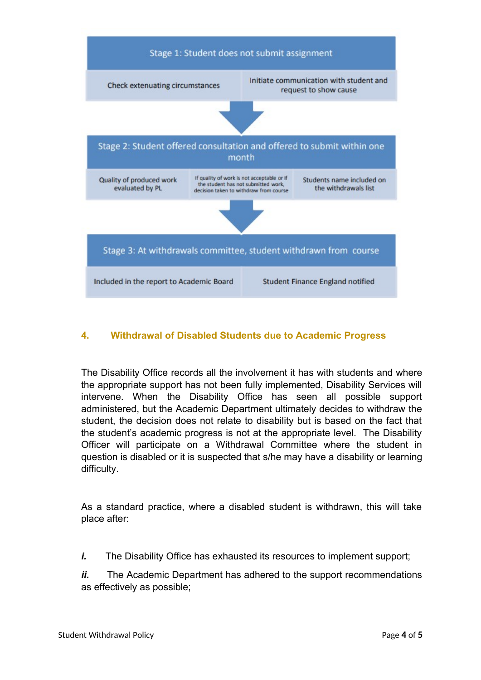

### **4. Withdrawal of Disabled Students due to Academic Progress**

The Disability Office records all the involvement it has with students and where the appropriate support has not been fully implemented, Disability Services will intervene. When the Disability Office has seen all possible support administered, but the Academic Department ultimately decides to withdraw the student, the decision does not relate to disability but is based on the fact that the student's academic progress is not at the appropriate level. The Disability Officer will participate on a Withdrawal Committee where the student in question is disabled or it is suspected that s/he may have a disability or learning difficulty.

As a standard practice, where a disabled student is withdrawn, this will take place after:

*i.* The Disability Office has exhausted its resources to implement support;

*ii.* The Academic Department has adhered to the support recommendations as effectively as possible;